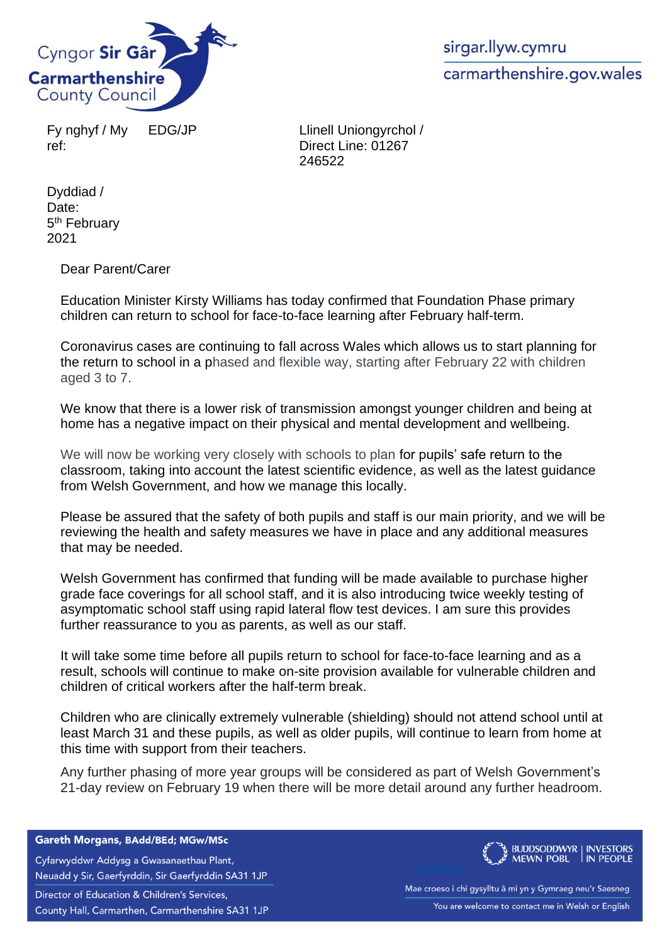

Fy nghyf / My ref:

EDG/JP Llinell Uniongyrchol / Direct Line: 01267 246522

Dyddiad / Date: 5<sup>th</sup> February 2021

Dear Parent/Carer

Education Minister Kirsty Williams has today confirmed that Foundation Phase primary children can return to school for face-to-face learning after February half-term.

Coronavirus cases are continuing to fall across Wales which allows us to start planning for the return to school in a phased and flexible way, starting after February 22 with children aged 3 to 7.

We know that there is a lower risk of transmission amongst younger children and being at home has a negative impact on their physical and mental development and wellbeing.

We will now be working very closely with schools to plan for pupils' safe return to the classroom, taking into account the latest scientific evidence, as well as the latest guidance from Welsh Government, and how we manage this locally.

Please be assured that the safety of both pupils and staff is our main priority, and we will be reviewing the health and safety measures we have in place and any additional measures that may be needed.

Welsh Government has confirmed that funding will be made available to purchase higher grade face coverings for all school staff, and it is also introducing twice weekly testing of asymptomatic school staff using rapid lateral flow test devices. I am sure this provides further reassurance to you as parents, as well as our staff.

It will take some time before all pupils return to school for face-to-face learning and as a result, schools will continue to make on-site provision available for vulnerable children and children of critical workers after the half-term break.

Children who are clinically extremely vulnerable (shielding) should not attend school until at least March 31 and these pupils, as well as older pupils, will continue to learn from home at this time with support from their teachers.

Any further phasing of more year groups will be considered as part of Welsh Government's 21-day review on February 19 when there will be more detail around any further headroom.

Gareth Morgans, BAdd/BEd; MGw/MSc

Cyfarwyddwr Addysg a Gwasanaethau Plant, Neuadd y Sir, Gaerfyrddin, Sir Gaerfyrddin SA31 1JP

Director of Education & Children's Services, County Hall, Carmarthen, Carmarthenshire SA31 1JP



Mae croeso i chi gysylltu â mi yn y Gymraeg neu'r Saesneg You are welcome to contact me in Welsh or English